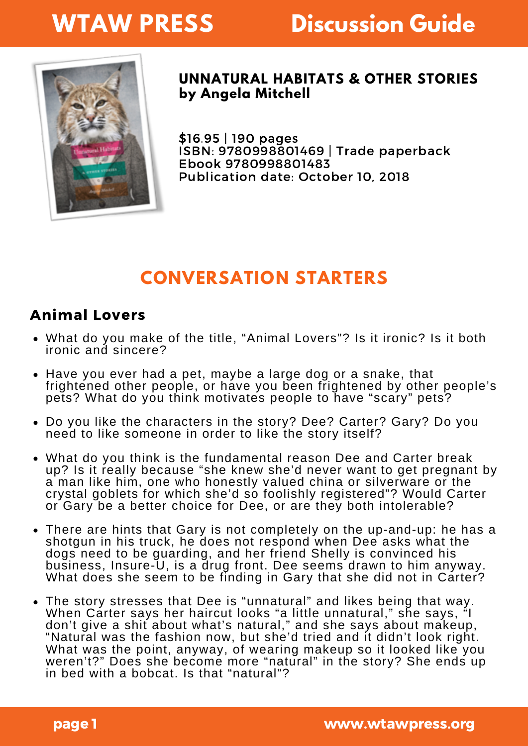# **WTAW PRESS**

# **Discussion Guide**



#### **UNNATURAL HABITATS & OTHER STORIES by Angela Mitchell**

\$16.95 | 190 pages ISBN: 9780998801469 | Trade paperback Ebook 9780998801483 Publication date: October 10, 2018

## **CONVERSATION STARTERS**

#### Animal Lovers

- What do you make of the title, "Animal Lovers"? Is it ironic? Is it both ironic and sincere?
- Have you ever had a pet, maybe a large dog or a snake, that frightened other people, or have you been frightened by other people's pets? What do you think motivates people to have "scary" pets?
- Do you like the characters in the story? Dee? Carter? Gary? Do you need to like someone in order to like the story itself?
- What do you think is the fundamental reason Dee and Carter break up? Is it really because "she knew she'd never want to get pregnant by a man like him, one who honestly valued china or silverware or the crystal goblets for which she'd so foolishly registered"? Would Carter or Gary be a better choice for Dee, or are they both intolerable?
- There are hints that Gary is not completely on the up-and-up: he has a shotgun in his truck, he does not respond when Dee asks what the dogs need to be guarding, and her friend Shelly is convinced his business, Insure-U, is a drug front. Dee seems drawn to him anyway. What does she seem to be finding in Gary that she did not in Carter?
- The story stresses that Dee is "unnatural" and likes being that way. When Carter says her haircut looks "a little unnatural," she says, "I don't give a shit about what's natural," and she says about makeup, "Natural was the fashion now, but she'd tried and it didn't look right. What was the point, anyway, of wearing makeup so it looked like you weren't?" Does she become more "natural" in the story? She ends up in bed with a bobcat. Is that "natural"?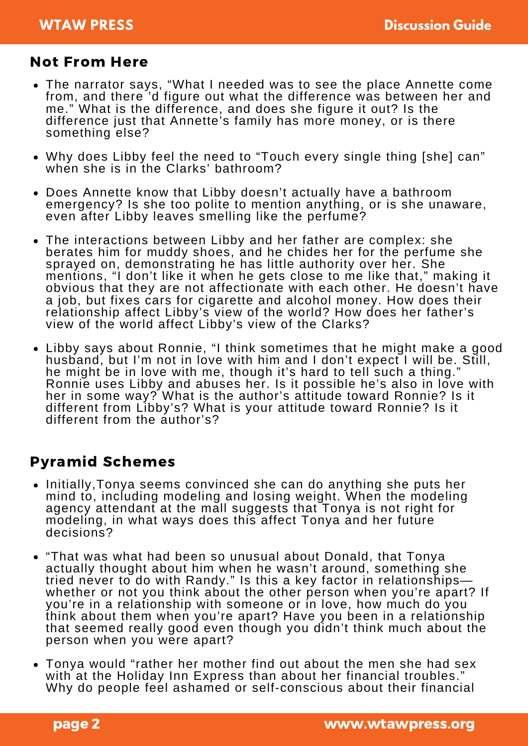### Not From Here

- The narrator says, "What I needed was to see the place Annette come from, and there 'd figure out what the difference was between her and me." What is the difference, and does she figure it out? Is the difference just that Annette's family has more money, or is there something else?
- Why does Libby feel the need to "Touch every single thing [she] can" when she is in the Clarks' bathroom?
- Does Annette know that Libby doesn't actually have a bathroom emergency? Is she too polite to mention anything, or is she unaware, even after Libby leaves smelling like the perfume?
- The interactions between Libby and her father are complex: she berates him for muddy shoes, and he chides her for the perfume she sprayed on, demonstrating he has little authority over her. She mentions, "I don't like it when he gets close to me like that," making it obvious that they are not affectionate with each other. He doesn't have a job, but fixes cars for cigarette and alcohol money. How does their relationship affect Libby's view of the world? How does her father's view of the world affect Libby's view of the Clarks?
- Libby says about Ronnie, "I think sometimes that he might make a good husband, but I'm not in love with him and I don't expect I will be. Still, he might be in love with me, though it's hard to tell such a thing." Ronnie uses Libby and abuses her. Is it possible he's also in love with her in some way? What is the author's attitude toward Ronnie? Is it different from Libby's? What is your attitude toward Ronnie? Is it different from the author's?

### Pyramid Schemes

- Initially, Tonya seems convinced she can do anything she puts her mind to, including modeling and losing weight. When the modeling agency attendant at the mall suggests that Tonya is not right for modeling, in what ways does this affect Tonya and her future decisions?
- "That was what had been so unusual about Donald, that Tonya actually thought about him when he wasn't around, something she tried never to do with Randy." Is this a key factor in relationshipswhether or not you think about the other person when you're apart? If you're in a relationship with someone or in love, how much do you think about them when you're apart? Have you been in a relationship that seemed really good even though you didn't think much about the person when you were apart?
- Tonya would "rather her mother find out about the men she had sex with at the Holiday Inn Express than about her financial troubles." Why do people feel ashamed or self-conscious about their financial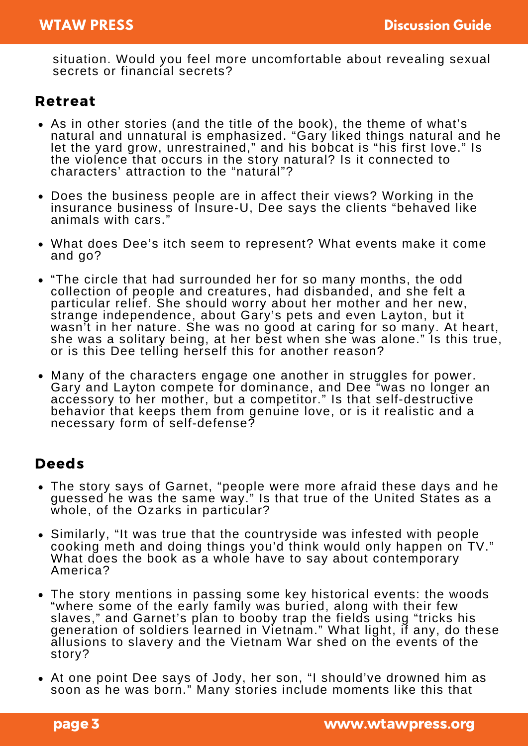situation. Would you feel more uncomfortable about revealing sexual secrets or financial secrets?

#### Retreat

- As in other stories (and the title of the book), the theme of what's natural and unnatural is emphasized. "Gary liked things natural and he let the yard grow, unrestrained," and his bobcat is "his first love." Is the violence that occurs in the story natural? Is it connected to characters' attraction to the "natural"?
- Does the business people are in affect their views? Working in the insurance business of Insure-U, Dee says the clients "behaved like animals with cars."
- What does Dee's itch seem to represent? What events make it come and go?
- "The circle that had surrounded her for so many months, the odd collection of people and creatures, had disbanded, and she felt a particular relief. She should worry about her mother and her new, strange independence, about Gary's pets and even Layton, but it wasn't in her nature. She was no good at caring for so many. At heart, she was a solitary being, at her best when she was alone." Is this true, or is this Dee telling herself this for another reason?
- Many of the characters engage one another in struggles for power. Gary and Layton compete for dominance, and Dee "was no longer an accessory to her mother, but a competitor." Is that self-destructive behavior that keeps them from genuine love, or is it realistic and a necessary form of self-defense?

#### Deeds

- The story says of Garnet, "people were more afraid these days and he guessed he was the same way." Is that true of the United States as a whole, of the Ozarks in particular?
- Similarly, "It was true that the countryside was infested with people cooking meth and doing things you'd think would only happen on TV." What does the book as a whole have to say about contemporary America?
- The story mentions in passing some key historical events: the woods "where some of the early family was buried, along with their few slaves," and Garnet's plan to booby trap the fields using "tricks his generation of soldiers learned in Vietnam." What light, if any, do these allusions to slavery and the Vietnam War shed on the events of the story?
- At one point Dee says of Jody, her son, "I should've drowned him as soon as he was born." Many stories include moments like this that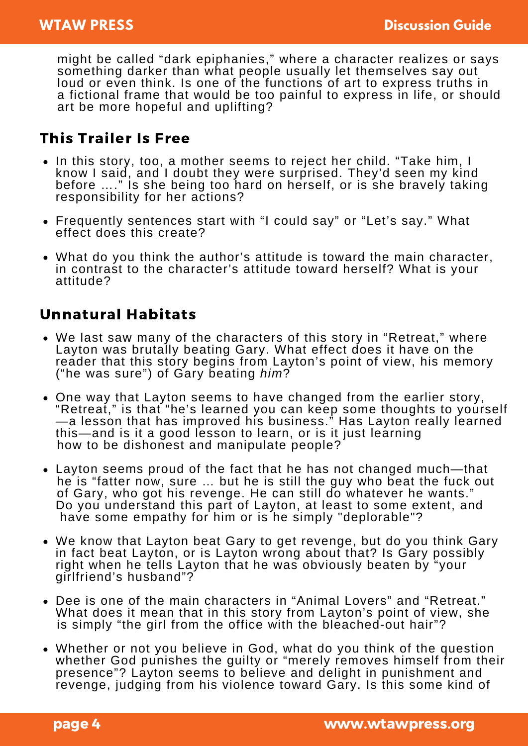might be called "dark epiphanies," where a character realizes or says something darker than what people usually let themselves say out loud or even think. Is one of the functions of art to express truths in a fictional frame that would be too painful to express in life, or should art be more hopeful and uplifting?

#### This Trailer Is Free

- In this story, too, a mother seems to reject her child. "Take him, I know I said, and I doubt they were surprised. They'd seen my kind before …." Is she being too hard on herself, or is she bravely taking responsibility for her actions?
- Frequently sentences start with "I could say" or "Let's say." What effect does this create?
- What do you think the author's attitude is toward the main character, in contrast to the character's attitude toward herself? What is your attitude?

### Unnatural Habitats

- We last saw many of the characters of this story in "Retreat," where Layton was brutally beating Gary. What effect does it have on the reader that this story begins from Layton's point of view, his memory ("he was sure") of Gary beating *him*?
- One way that Layton seems to have changed from the earlier story, "Retreat," is that "he's learned you can keep some thoughts to yourself<br>—a lesson that has improved his business." Has Layton really learned this—and is it a good lesson to learn, or is it just learning how to be dishonest and manipulate people?
- Layton seems proud of the fact that he has not changed much—that he is "fatter now, sure … but he is still the guy who beat the fuck out of Gary, who got his revenge. He can still do whatever he wants." Do you understand this part of Layton, at least to some extent, and have some empathy for him or is he simply "deplorable"?
- We know that Layton beat Gary to get revenge, but do you think Gary in fact beat Layton, or is Layton wrong about that? Is Gary possibly right when he tells Layton that he was obviously beaten by "your girlfriend's husband"?
- Dee is one of the main characters in "Animal Lovers" and "Retreat." What does it mean that in this story from Layton's point of view, she is simply "the girl from the office with the bleached-out hair"?
- Whether or not you believe in God, what do you think of the question whether God punishes the guilty or "merely removes himself from their presence"? Layton seems to believe and delight in punishment and revenge, judging from his violence toward Gary. Is this some kind of